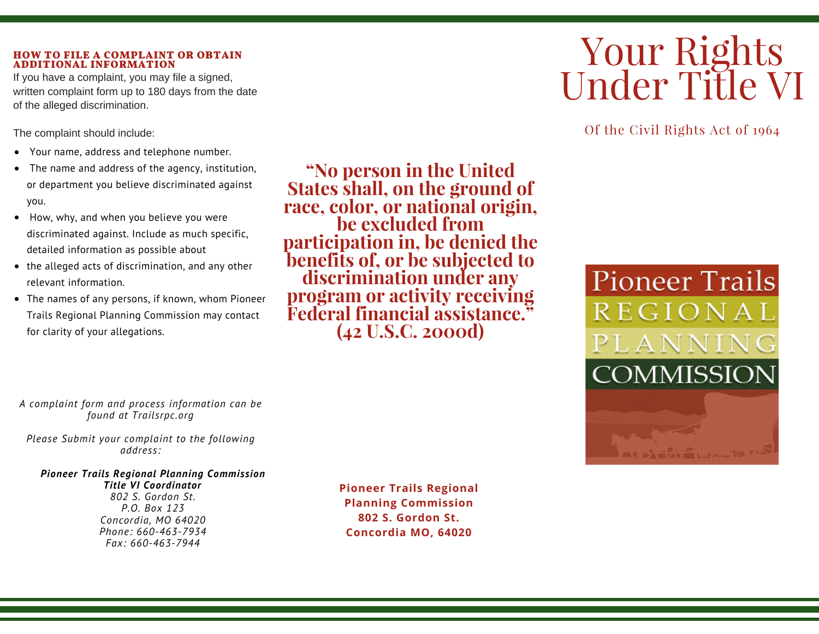#### **HOW TO FILE A COMPLAINT OR OBTAIN ADDITIONAL INFORMATION**

If you have a complaint, you may file a signed, written complaint form up to 180 days from the date of the alleged discrimination.

The complaint should include:

- Your name, address and telephone number.
- The name and address of the agency, institution, or department you believe discriminated against you.
- How, why, and when you believe you were discriminated against. Include as much specific, detailed information as possible about
- the alleged acts of discrimination, and any other relevant information.
- The names of any persons, if known, whom Pioneer Trails Regional Planning Commission may contact for clarity of your allegations.

**"No person in the United States shall, on the ground of race, color, or national origin, be excluded from participation in, be denied the benefits of, or be subjected to discrimination under any program or activity receiving Federal financial assistance." (42 U.S.C. 2000d)**

# Your Rights Under Title VI

Of the Civil Rights Act of 1964



*A complaint form and process information can be found at Trailsrpc.org*

*Please Submit your complaint to the following address:*

#### *Pioneer Trails Regional Planning Commission*

*Title VI Coordinator 802 S. Gordon St. P.O. Box 123 Concordia, MO 64020 Phone: 660-463-7934 Fax: 660-463-7944*

**Pioneer Trails Regional Planning Commission 802 S. Gordon St. Concordia MO, 64020**